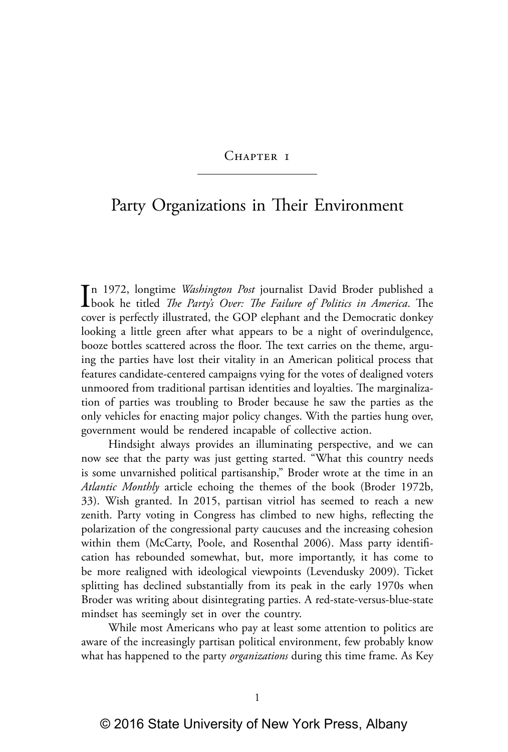Chapter 1

# Party Organizations in Their Environment

In 1972, longtime *Washington Post* journalist David Broder published a book he titled *The Party's Over: The Failure of Politics in America*. The n 1972, longtime *Washington Post* journalist David Broder published a cover is perfectly illustrated, the GOP elephant and the Democratic donkey looking a little green after what appears to be a night of overindulgence, booze bottles scattered across the floor. The text carries on the theme, arguing the parties have lost their vitality in an American political process that features candidate-centered campaigns vying for the votes of dealigned voters unmoored from traditional partisan identities and loyalties. The marginalization of parties was troubling to Broder because he saw the parties as the only vehicles for enacting major policy changes. With the parties hung over, government would be rendered incapable of collective action.

Hindsight always provides an illuminating perspective, and we can now see that the party was just getting started. "What this country needs is some unvarnished political partisanship," Broder wrote at the time in an *Atlantic Monthly* article echoing the themes of the book (Broder 1972b, 33). Wish granted. In 2015, partisan vitriol has seemed to reach a new zenith. Party voting in Congress has climbed to new highs, reflecting the polarization of the congressional party caucuses and the increasing cohesion within them (McCarty, Poole, and Rosenthal 2006). Mass party identification has rebounded somewhat, but, more importantly, it has come to be more realigned with ideological viewpoints (Levendusky 2009). Ticket splitting has declined substantially from its peak in the early 1970s when Broder was writing about disintegrating parties. A red-state-versus-blue-state mindset has seemingly set in over the country.

While most Americans who pay at least some attention to politics are aware of the increasingly partisan political environment, few probably know what has happened to the party *organizations* during this time frame. As Key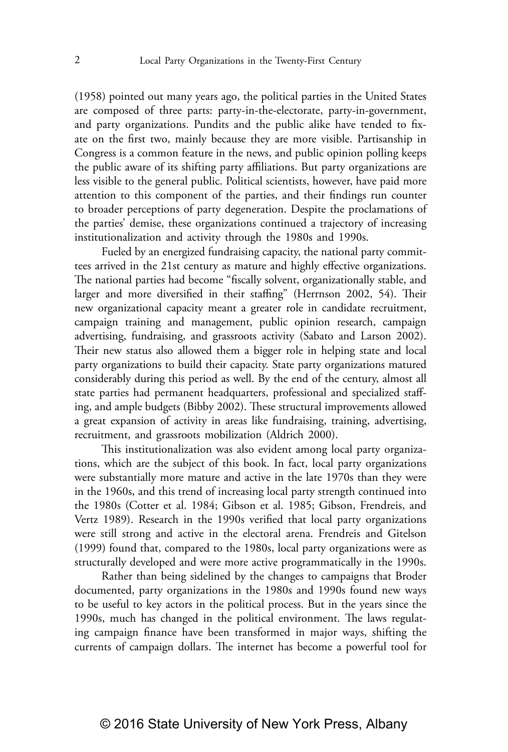(1958) pointed out many years ago, the political parties in the United States are composed of three parts: party-in-the-electorate, party-in-government, and party organizations. Pundits and the public alike have tended to fixate on the first two, mainly because they are more visible. Partisanship in Congress is a common feature in the news, and public opinion polling keeps the public aware of its shifting party affiliations. But party organizations are less visible to the general public. Political scientists, however, have paid more attention to this component of the parties, and their findings run counter to broader perceptions of party degeneration. Despite the proclamations of the parties' demise, these organizations continued a trajectory of increasing institutionalization and activity through the 1980s and 1990s.

Fueled by an energized fundraising capacity, the national party committees arrived in the 21st century as mature and highly effective organizations. The national parties had become "fiscally solvent, organizationally stable, and larger and more diversified in their staffing" (Herrnson 2002, 54). Their new organizational capacity meant a greater role in candidate recruitment, campaign training and management, public opinion research, campaign advertising, fundraising, and grassroots activity (Sabato and Larson 2002). Their new status also allowed them a bigger role in helping state and local party organizations to build their capacity. State party organizations matured considerably during this period as well. By the end of the century, almost all state parties had permanent headquarters, professional and specialized staffing, and ample budgets (Bibby 2002). These structural improvements allowed a great expansion of activity in areas like fundraising, training, advertising, recruitment, and grassroots mobilization (Aldrich 2000).

This institutionalization was also evident among local party organizations, which are the subject of this book. In fact, local party organizations were substantially more mature and active in the late 1970s than they were in the 1960s, and this trend of increasing local party strength continued into the 1980s (Cotter et al. 1984; Gibson et al. 1985; Gibson, Frendreis, and Vertz 1989). Research in the 1990s verified that local party organizations were still strong and active in the electoral arena. Frendreis and Gitelson (1999) found that, compared to the 1980s, local party organizations were as structurally developed and were more active programmatically in the 1990s.

Rather than being sidelined by the changes to campaigns that Broder documented, party organizations in the 1980s and 1990s found new ways to be useful to key actors in the political process. But in the years since the 1990s, much has changed in the political environment. The laws regulating campaign finance have been transformed in major ways, shifting the currents of campaign dollars. The internet has become a powerful tool for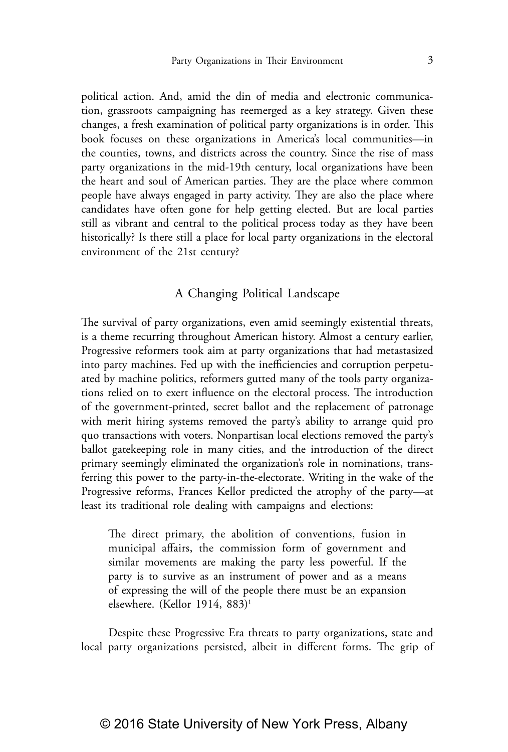political action. And, amid the din of media and electronic communication, grassroots campaigning has reemerged as a key strategy. Given these changes, a fresh examination of political party organizations is in order. This book focuses on these organizations in America's local communities—in the counties, towns, and districts across the country. Since the rise of mass party organizations in the mid-19th century, local organizations have been the heart and soul of American parties. They are the place where common people have always engaged in party activity. They are also the place where candidates have often gone for help getting elected. But are local parties still as vibrant and central to the political process today as they have been historically? Is there still a place for local party organizations in the electoral environment of the 21st century?

### A Changing Political Landscape

The survival of party organizations, even amid seemingly existential threats, is a theme recurring throughout American history. Almost a century earlier, Progressive reformers took aim at party organizations that had metastasized into party machines. Fed up with the inefficiencies and corruption perpetuated by machine politics, reformers gutted many of the tools party organizations relied on to exert influence on the electoral process. The introduction of the government-printed, secret ballot and the replacement of patronage with merit hiring systems removed the party's ability to arrange quid pro quo transactions with voters. Nonpartisan local elections removed the party's ballot gatekeeping role in many cities, and the introduction of the direct primary seemingly eliminated the organization's role in nominations, transferring this power to the party-in-the-electorate. Writing in the wake of the Progressive reforms, Frances Kellor predicted the atrophy of the party—at least its traditional role dealing with campaigns and elections:

The direct primary, the abolition of conventions, fusion in municipal affairs, the commission form of government and similar movements are making the party less powerful. If the party is to survive as an instrument of power and as a means of expressing the will of the people there must be an expansion elsewhere. (Kellor 1914, 883)<sup>1</sup>

Despite these Progressive Era threats to party organizations, state and local party organizations persisted, albeit in different forms. The grip of

© 2016 State University of New York Press, Albany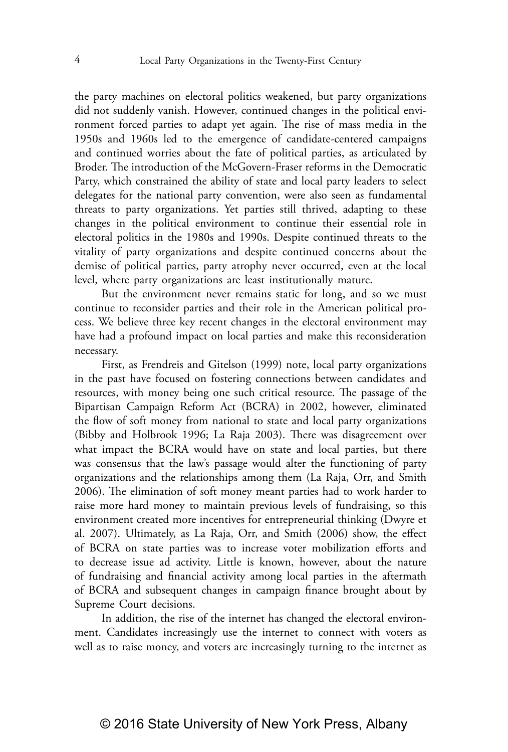the party machines on electoral politics weakened, but party organizations did not suddenly vanish. However, continued changes in the political environment forced parties to adapt yet again. The rise of mass media in the 1950s and 1960s led to the emergence of candidate-centered campaigns and continued worries about the fate of political parties, as articulated by Broder. The introduction of the McGovern-Fraser reforms in the Democratic Party, which constrained the ability of state and local party leaders to select delegates for the national party convention, were also seen as fundamental threats to party organizations. Yet parties still thrived, adapting to these changes in the political environment to continue their essential role in electoral politics in the 1980s and 1990s. Despite continued threats to the vitality of party organizations and despite continued concerns about the demise of political parties, party atrophy never occurred, even at the local level, where party organizations are least institutionally mature.

But the environment never remains static for long, and so we must continue to reconsider parties and their role in the American political process. We believe three key recent changes in the electoral environment may have had a profound impact on local parties and make this reconsideration necessary.

First, as Frendreis and Gitelson (1999) note, local party organizations in the past have focused on fostering connections between candidates and resources, with money being one such critical resource. The passage of the Bipartisan Campaign Reform Act (BCRA) in 2002, however, eliminated the flow of soft money from national to state and local party organizations (Bibby and Holbrook 1996; La Raja 2003). There was disagreement over what impact the BCRA would have on state and local parties, but there was consensus that the law's passage would alter the functioning of party organizations and the relationships among them (La Raja, Orr, and Smith 2006). The elimination of soft money meant parties had to work harder to raise more hard money to maintain previous levels of fundraising, so this environment created more incentives for entrepreneurial thinking (Dwyre et al. 2007). Ultimately, as La Raja, Orr, and Smith (2006) show, the effect of BCRA on state parties was to increase voter mobilization efforts and to decrease issue ad activity. Little is known, however, about the nature of fundraising and financial activity among local parties in the aftermath of BCRA and subsequent changes in campaign finance brought about by Supreme Court decisions.

In addition, the rise of the internet has changed the electoral environment. Candidates increasingly use the internet to connect with voters as well as to raise money, and voters are increasingly turning to the internet as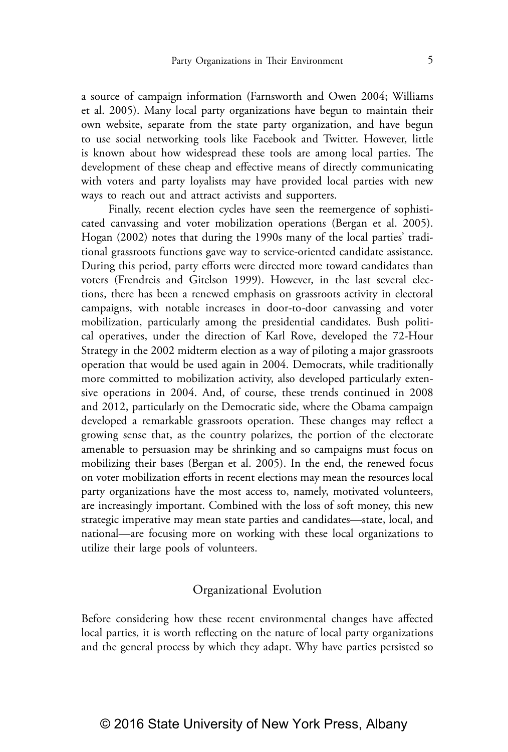a source of campaign information (Farnsworth and Owen 2004; Williams et al. 2005). Many local party organizations have begun to maintain their own website, separate from the state party organization, and have begun to use social networking tools like Facebook and Twitter. However, little is known about how widespread these tools are among local parties. The development of these cheap and effective means of directly communicating with voters and party loyalists may have provided local parties with new ways to reach out and attract activists and supporters.

Finally, recent election cycles have seen the reemergence of sophisticated canvassing and voter mobilization operations (Bergan et al. 2005). Hogan (2002) notes that during the 1990s many of the local parties' traditional grassroots functions gave way to service-oriented candidate assistance. During this period, party efforts were directed more toward candidates than voters (Frendreis and Gitelson 1999). However, in the last several elections, there has been a renewed emphasis on grassroots activity in electoral campaigns, with notable increases in door-to-door canvassing and voter mobilization, particularly among the presidential candidates. Bush political operatives, under the direction of Karl Rove, developed the 72-Hour Strategy in the 2002 midterm election as a way of piloting a major grassroots operation that would be used again in 2004. Democrats, while traditionally more committed to mobilization activity, also developed particularly extensive operations in 2004. And, of course, these trends continued in 2008 and 2012, particularly on the Democratic side, where the Obama campaign developed a remarkable grassroots operation. These changes may reflect a growing sense that, as the country polarizes, the portion of the electorate amenable to persuasion may be shrinking and so campaigns must focus on mobilizing their bases (Bergan et al. 2005). In the end, the renewed focus on voter mobilization efforts in recent elections may mean the resources local party organizations have the most access to, namely, motivated volunteers, are increasingly important. Combined with the loss of soft money, this new strategic imperative may mean state parties and candidates—state, local, and national—are focusing more on working with these local organizations to utilize their large pools of volunteers.

#### Organizational Evolution

Before considering how these recent environmental changes have affected local parties, it is worth reflecting on the nature of local party organizations and the general process by which they adapt. Why have parties persisted so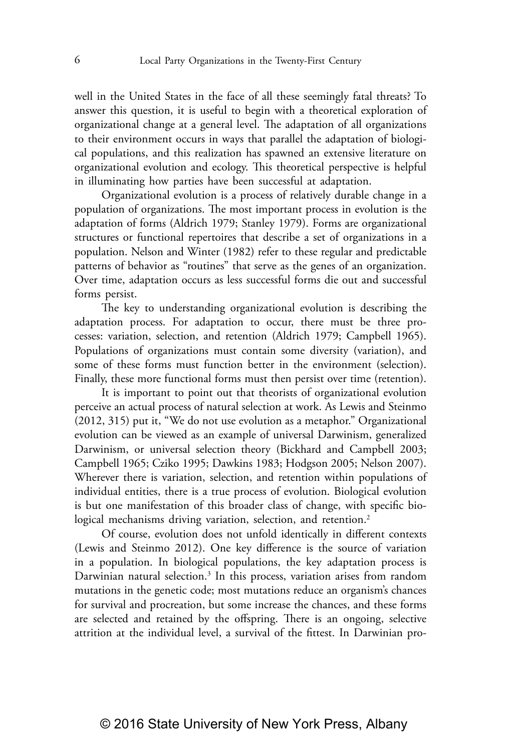well in the United States in the face of all these seemingly fatal threats? To answer this question, it is useful to begin with a theoretical exploration of organizational change at a general level. The adaptation of all organizations to their environment occurs in ways that parallel the adaptation of biological populations, and this realization has spawned an extensive literature on organizational evolution and ecology. This theoretical perspective is helpful in illuminating how parties have been successful at adaptation.

Organizational evolution is a process of relatively durable change in a population of organizations. The most important process in evolution is the adaptation of forms (Aldrich 1979; Stanley 1979). Forms are organizational structures or functional repertoires that describe a set of organizations in a population. Nelson and Winter (1982) refer to these regular and predictable patterns of behavior as "routines" that serve as the genes of an organization. Over time, adaptation occurs as less successful forms die out and successful forms persist.

The key to understanding organizational evolution is describing the adaptation process. For adaptation to occur, there must be three processes: variation, selection, and retention (Aldrich 1979; Campbell 1965). Populations of organizations must contain some diversity (variation), and some of these forms must function better in the environment (selection). Finally, these more functional forms must then persist over time (retention).

It is important to point out that theorists of organizational evolution perceive an actual process of natural selection at work. As Lewis and Steinmo (2012, 315) put it, "We do not use evolution as a metaphor." Organizational evolution can be viewed as an example of universal Darwinism, generalized Darwinism, or universal selection theory (Bickhard and Campbell 2003; Campbell 1965; Cziko 1995; Dawkins 1983; Hodgson 2005; Nelson 2007). Wherever there is variation, selection, and retention within populations of individual entities, there is a true process of evolution. Biological evolution is but one manifestation of this broader class of change, with specific biological mechanisms driving variation, selection, and retention.<sup>2</sup>

Of course, evolution does not unfold identically in different contexts (Lewis and Steinmo 2012). One key difference is the source of variation in a population. In biological populations, the key adaptation process is Darwinian natural selection.<sup>3</sup> In this process, variation arises from random mutations in the genetic code; most mutations reduce an organism's chances for survival and procreation, but some increase the chances, and these forms are selected and retained by the offspring. There is an ongoing, selective attrition at the individual level, a survival of the fittest. In Darwinian pro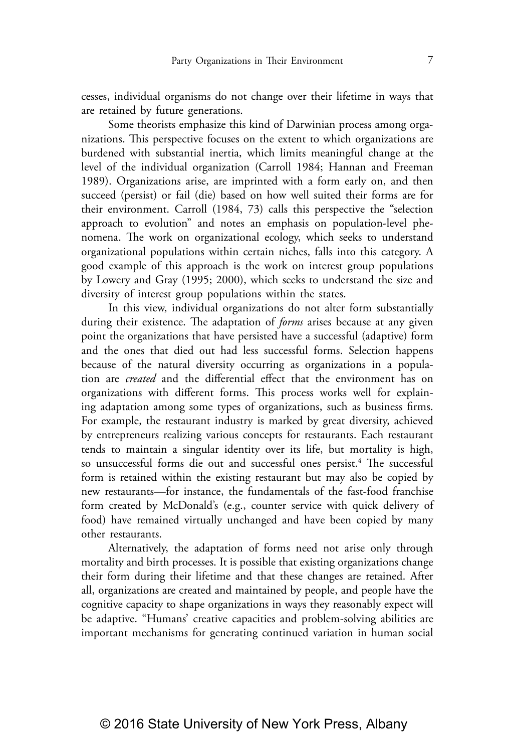cesses, individual organisms do not change over their lifetime in ways that are retained by future generations.

Some theorists emphasize this kind of Darwinian process among organizations. This perspective focuses on the extent to which organizations are burdened with substantial inertia, which limits meaningful change at the level of the individual organization (Carroll 1984; Hannan and Freeman 1989). Organizations arise, are imprinted with a form early on, and then succeed (persist) or fail (die) based on how well suited their forms are for their environment. Carroll (1984, 73) calls this perspective the "selection approach to evolution" and notes an emphasis on population-level phenomena. The work on organizational ecology, which seeks to understand organizational populations within certain niches, falls into this category. A good example of this approach is the work on interest group populations by Lowery and Gray (1995; 2000), which seeks to understand the size and diversity of interest group populations within the states.

In this view, individual organizations do not alter form substantially during their existence. The adaptation of *forms* arises because at any given point the organizations that have persisted have a successful (adaptive) form and the ones that died out had less successful forms. Selection happens because of the natural diversity occurring as organizations in a population are *created* and the differential effect that the environment has on organizations with different forms. This process works well for explaining adaptation among some types of organizations, such as business firms. For example, the restaurant industry is marked by great diversity, achieved by entrepreneurs realizing various concepts for restaurants. Each restaurant tends to maintain a singular identity over its life, but mortality is high, so unsuccessful forms die out and successful ones persist.<sup>4</sup> The successful form is retained within the existing restaurant but may also be copied by new restaurants—for instance, the fundamentals of the fast-food franchise form created by McDonald's (e.g., counter service with quick delivery of food) have remained virtually unchanged and have been copied by many other restaurants.

Alternatively, the adaptation of forms need not arise only through mortality and birth processes. It is possible that existing organizations change their form during their lifetime and that these changes are retained. After all, organizations are created and maintained by people, and people have the cognitive capacity to shape organizations in ways they reasonably expect will be adaptive. "Humans' creative capacities and problem-solving abilities are important mechanisms for generating continued variation in human social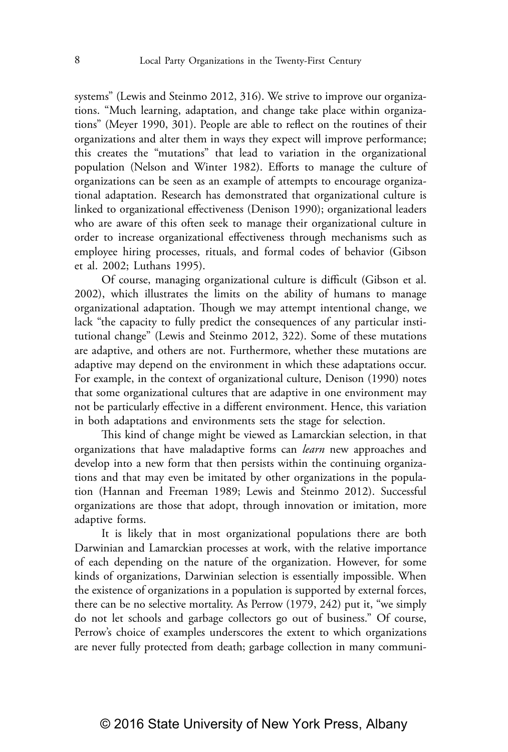systems" (Lewis and Steinmo 2012, 316). We strive to improve our organizations. "Much learning, adaptation, and change take place within organizations" (Meyer 1990, 301). People are able to reflect on the routines of their organizations and alter them in ways they expect will improve performance; this creates the "mutations" that lead to variation in the organizational population (Nelson and Winter 1982). Efforts to manage the culture of organizations can be seen as an example of attempts to encourage organizational adaptation. Research has demonstrated that organizational culture is linked to organizational effectiveness (Denison 1990); organizational leaders who are aware of this often seek to manage their organizational culture in order to increase organizational effectiveness through mechanisms such as employee hiring processes, rituals, and formal codes of behavior (Gibson et al. 2002; Luthans 1995).

Of course, managing organizational culture is difficult (Gibson et al. 2002), which illustrates the limits on the ability of humans to manage organizational adaptation. Though we may attempt intentional change, we lack "the capacity to fully predict the consequences of any particular institutional change" (Lewis and Steinmo 2012, 322). Some of these mutations are adaptive, and others are not. Furthermore, whether these mutations are adaptive may depend on the environment in which these adaptations occur. For example, in the context of organizational culture, Denison (1990) notes that some organizational cultures that are adaptive in one environment may not be particularly effective in a different environment. Hence, this variation in both adaptations and environments sets the stage for selection.

This kind of change might be viewed as Lamarckian selection, in that organizations that have maladaptive forms can *learn* new approaches and develop into a new form that then persists within the continuing organizations and that may even be imitated by other organizations in the population (Hannan and Freeman 1989; Lewis and Steinmo 2012). Successful organizations are those that adopt, through innovation or imitation, more adaptive forms.

It is likely that in most organizational populations there are both Darwinian and Lamarckian processes at work, with the relative importance of each depending on the nature of the organization. However, for some kinds of organizations, Darwinian selection is essentially impossible. When the existence of organizations in a population is supported by external forces, there can be no selective mortality. As Perrow (1979, 242) put it, "we simply do not let schools and garbage collectors go out of business." Of course, Perrow's choice of examples underscores the extent to which organizations are never fully protected from death; garbage collection in many communi-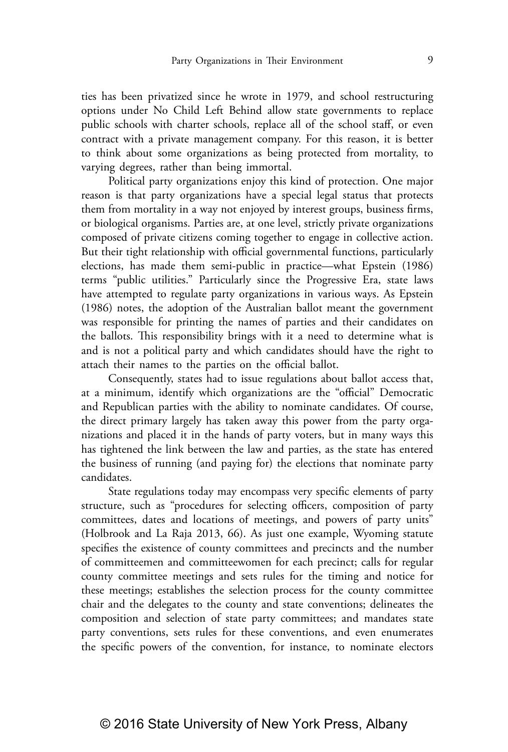ties has been privatized since he wrote in 1979, and school restructuring options under No Child Left Behind allow state governments to replace public schools with charter schools, replace all of the school staff, or even contract with a private management company. For this reason, it is better to think about some organizations as being protected from mortality, to varying degrees, rather than being immortal.

Political party organizations enjoy this kind of protection. One major reason is that party organizations have a special legal status that protects them from mortality in a way not enjoyed by interest groups, business firms, or biological organisms. Parties are, at one level, strictly private organizations composed of private citizens coming together to engage in collective action. But their tight relationship with official governmental functions, particularly elections, has made them semi-public in practice—what Epstein (1986) terms "public utilities." Particularly since the Progressive Era, state laws have attempted to regulate party organizations in various ways. As Epstein (1986) notes, the adoption of the Australian ballot meant the government was responsible for printing the names of parties and their candidates on the ballots. This responsibility brings with it a need to determine what is and is not a political party and which candidates should have the right to attach their names to the parties on the official ballot.

Consequently, states had to issue regulations about ballot access that, at a minimum, identify which organizations are the "official" Democratic and Republican parties with the ability to nominate candidates. Of course, the direct primary largely has taken away this power from the party organizations and placed it in the hands of party voters, but in many ways this has tightened the link between the law and parties, as the state has entered the business of running (and paying for) the elections that nominate party candidates.

State regulations today may encompass very specific elements of party structure, such as "procedures for selecting officers, composition of party committees, dates and locations of meetings, and powers of party units" (Holbrook and La Raja 2013, 66). As just one example, Wyoming statute specifies the existence of county committees and precincts and the number of committeemen and committeewomen for each precinct; calls for regular county committee meetings and sets rules for the timing and notice for these meetings; establishes the selection process for the county committee chair and the delegates to the county and state conventions; delineates the composition and selection of state party committees; and mandates state party conventions, sets rules for these conventions, and even enumerates the specific powers of the convention, for instance, to nominate electors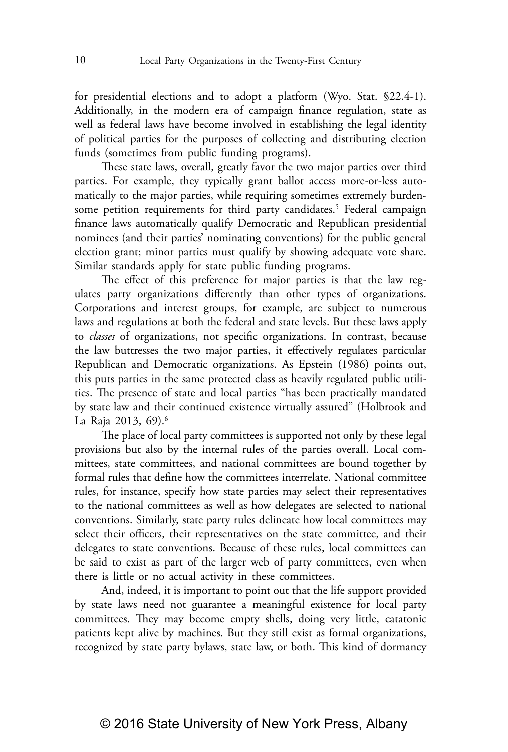for presidential elections and to adopt a platform (Wyo. Stat. §22.4-1). Additionally, in the modern era of campaign finance regulation, state as well as federal laws have become involved in establishing the legal identity of political parties for the purposes of collecting and distributing election funds (sometimes from public funding programs).

These state laws, overall, greatly favor the two major parties over third parties. For example, they typically grant ballot access more-or-less automatically to the major parties, while requiring sometimes extremely burdensome petition requirements for third party candidates.<sup>5</sup> Federal campaign finance laws automatically qualify Democratic and Republican presidential nominees (and their parties' nominating conventions) for the public general election grant; minor parties must qualify by showing adequate vote share. Similar standards apply for state public funding programs.

The effect of this preference for major parties is that the law regulates party organizations differently than other types of organizations. Corporations and interest groups, for example, are subject to numerous laws and regulations at both the federal and state levels. But these laws apply to *classes* of organizations, not specific organizations. In contrast, because the law buttresses the two major parties, it effectively regulates particular Republican and Democratic organizations. As Epstein (1986) points out, this puts parties in the same protected class as heavily regulated public utilities. The presence of state and local parties "has been practically mandated by state law and their continued existence virtually assured" (Holbrook and La Raja 2013, 69).<sup>6</sup>

The place of local party committees is supported not only by these legal provisions but also by the internal rules of the parties overall. Local committees, state committees, and national committees are bound together by formal rules that define how the committees interrelate. National committee rules, for instance, specify how state parties may select their representatives to the national committees as well as how delegates are selected to national conventions. Similarly, state party rules delineate how local committees may select their officers, their representatives on the state committee, and their delegates to state conventions. Because of these rules, local committees can be said to exist as part of the larger web of party committees, even when there is little or no actual activity in these committees.

And, indeed, it is important to point out that the life support provided by state laws need not guarantee a meaningful existence for local party committees. They may become empty shells, doing very little, catatonic patients kept alive by machines. But they still exist as formal organizations, recognized by state party bylaws, state law, or both. This kind of dormancy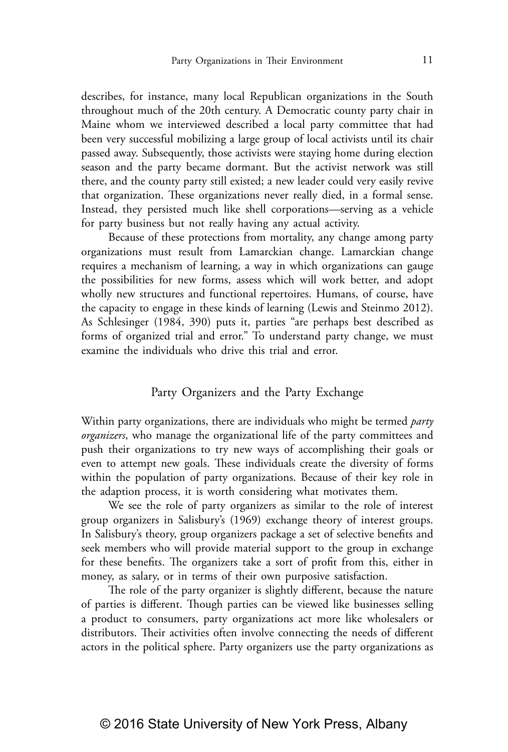describes, for instance, many local Republican organizations in the South throughout much of the 20th century. A Democratic county party chair in Maine whom we interviewed described a local party committee that had been very successful mobilizing a large group of local activists until its chair passed away. Subsequently, those activists were staying home during election season and the party became dormant. But the activist network was still there, and the county party still existed; a new leader could very easily revive that organization. These organizations never really died, in a formal sense. Instead, they persisted much like shell corporations—serving as a vehicle for party business but not really having any actual activity.

Because of these protections from mortality, any change among party organizations must result from Lamarckian change. Lamarckian change requires a mechanism of learning, a way in which organizations can gauge the possibilities for new forms, assess which will work better, and adopt wholly new structures and functional repertoires. Humans, of course, have the capacity to engage in these kinds of learning (Lewis and Steinmo 2012). As Schlesinger (1984, 390) puts it, parties "are perhaps best described as forms of organized trial and error." To understand party change, we must examine the individuals who drive this trial and error.

#### Party Organizers and the Party Exchange

Within party organizations, there are individuals who might be termed *party organizers*, who manage the organizational life of the party committees and push their organizations to try new ways of accomplishing their goals or even to attempt new goals. These individuals create the diversity of forms within the population of party organizations. Because of their key role in the adaption process, it is worth considering what motivates them.

We see the role of party organizers as similar to the role of interest group organizers in Salisbury's (1969) exchange theory of interest groups. In Salisbury's theory, group organizers package a set of selective benefits and seek members who will provide material support to the group in exchange for these benefits. The organizers take a sort of profit from this, either in money, as salary, or in terms of their own purposive satisfaction.

The role of the party organizer is slightly different, because the nature of parties is different. Though parties can be viewed like businesses selling a product to consumers, party organizations act more like wholesalers or distributors. Their activities often involve connecting the needs of different actors in the political sphere. Party organizers use the party organizations as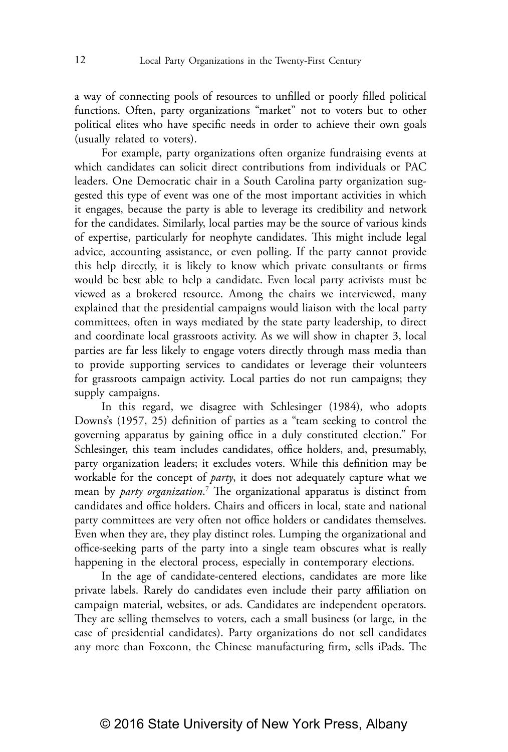a way of connecting pools of resources to unfilled or poorly filled political functions. Often, party organizations "market" not to voters but to other political elites who have specific needs in order to achieve their own goals (usually related to voters).

For example, party organizations often organize fundraising events at which candidates can solicit direct contributions from individuals or PAC leaders. One Democratic chair in a South Carolina party organization suggested this type of event was one of the most important activities in which it engages, because the party is able to leverage its credibility and network for the candidates. Similarly, local parties may be the source of various kinds of expertise, particularly for neophyte candidates. This might include legal advice, accounting assistance, or even polling. If the party cannot provide this help directly, it is likely to know which private consultants or firms would be best able to help a candidate. Even local party activists must be viewed as a brokered resource. Among the chairs we interviewed, many explained that the presidential campaigns would liaison with the local party committees, often in ways mediated by the state party leadership, to direct and coordinate local grassroots activity. As we will show in chapter 3, local parties are far less likely to engage voters directly through mass media than to provide supporting services to candidates or leverage their volunteers for grassroots campaign activity. Local parties do not run campaigns; they supply campaigns.

In this regard, we disagree with Schlesinger (1984), who adopts Downs's (1957, 25) definition of parties as a "team seeking to control the governing apparatus by gaining office in a duly constituted election." For Schlesinger, this team includes candidates, office holders, and, presumably, party organization leaders; it excludes voters. While this definition may be workable for the concept of *party*, it does not adequately capture what we mean by *party organization*. 7 The organizational apparatus is distinct from candidates and office holders. Chairs and officers in local, state and national party committees are very often not office holders or candidates themselves. Even when they are, they play distinct roles. Lumping the organizational and office-seeking parts of the party into a single team obscures what is really happening in the electoral process, especially in contemporary elections.

In the age of candidate-centered elections, candidates are more like private labels. Rarely do candidates even include their party affiliation on campaign material, websites, or ads. Candidates are independent operators. They are selling themselves to voters, each a small business (or large, in the case of presidential candidates). Party organizations do not sell candidates any more than Foxconn, the Chinese manufacturing firm, sells iPads. The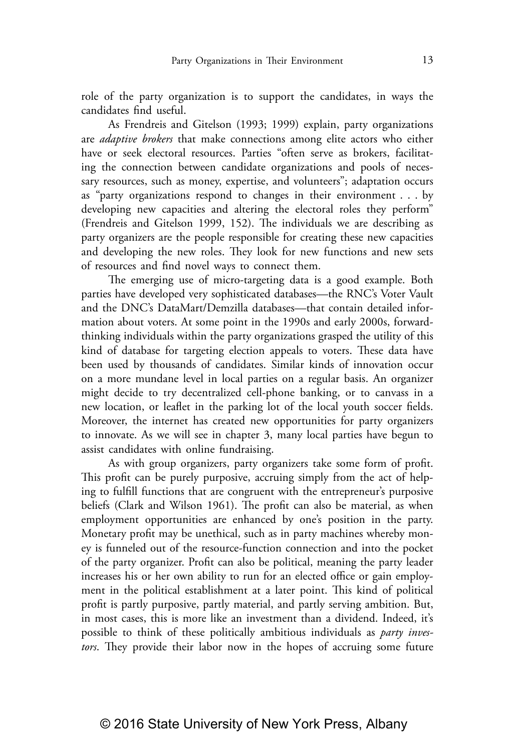role of the party organization is to support the candidates, in ways the candidates find useful.

As Frendreis and Gitelson (1993; 1999) explain, party organizations are *adaptive brokers* that make connections among elite actors who either have or seek electoral resources. Parties "often serve as brokers, facilitating the connection between candidate organizations and pools of necessary resources, such as money, expertise, and volunteers"; adaptation occurs as "party organizations respond to changes in their environment . . . by developing new capacities and altering the electoral roles they perform" (Frendreis and Gitelson 1999, 152). The individuals we are describing as party organizers are the people responsible for creating these new capacities and developing the new roles. They look for new functions and new sets of resources and find novel ways to connect them.

The emerging use of micro-targeting data is a good example. Both parties have developed very sophisticated databases—the RNC's Voter Vault and the DNC's DataMart/Demzilla databases—that contain detailed information about voters. At some point in the 1990s and early 2000s, forwardthinking individuals within the party organizations grasped the utility of this kind of database for targeting election appeals to voters. These data have been used by thousands of candidates. Similar kinds of innovation occur on a more mundane level in local parties on a regular basis. An organizer might decide to try decentralized cell-phone banking, or to canvass in a new location, or leaflet in the parking lot of the local youth soccer fields. Moreover, the internet has created new opportunities for party organizers to innovate. As we will see in chapter 3, many local parties have begun to assist candidates with online fundraising.

As with group organizers, party organizers take some form of profit. This profit can be purely purposive, accruing simply from the act of helping to fulfill functions that are congruent with the entrepreneur's purposive beliefs (Clark and Wilson 1961). The profit can also be material, as when employment opportunities are enhanced by one's position in the party. Monetary profit may be unethical, such as in party machines whereby money is funneled out of the resource-function connection and into the pocket of the party organizer. Profit can also be political, meaning the party leader increases his or her own ability to run for an elected office or gain employment in the political establishment at a later point. This kind of political profit is partly purposive, partly material, and partly serving ambition. But, in most cases, this is more like an investment than a dividend. Indeed, it's possible to think of these politically ambitious individuals as *party investors*. They provide their labor now in the hopes of accruing some future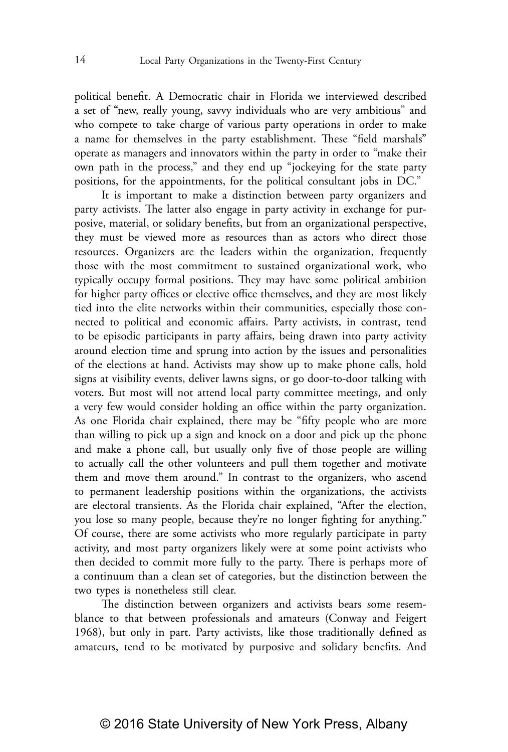political benefit. A Democratic chair in Florida we interviewed described a set of "new, really young, savvy individuals who are very ambitious" and who compete to take charge of various party operations in order to make a name for themselves in the party establishment. These "field marshals" operate as managers and innovators within the party in order to "make their own path in the process," and they end up "jockeying for the state party positions, for the appointments, for the political consultant jobs in DC."

It is important to make a distinction between party organizers and party activists. The latter also engage in party activity in exchange for purposive, material, or solidary benefits, but from an organizational perspective, they must be viewed more as resources than as actors who direct those resources. Organizers are the leaders within the organization, frequently those with the most commitment to sustained organizational work, who typically occupy formal positions. They may have some political ambition for higher party offices or elective office themselves, and they are most likely tied into the elite networks within their communities, especially those connected to political and economic affairs. Party activists, in contrast, tend to be episodic participants in party affairs, being drawn into party activity around election time and sprung into action by the issues and personalities of the elections at hand. Activists may show up to make phone calls, hold signs at visibility events, deliver lawns signs, or go door-to-door talking with voters. But most will not attend local party committee meetings, and only a very few would consider holding an office within the party organization. As one Florida chair explained, there may be "fifty people who are more than willing to pick up a sign and knock on a door and pick up the phone and make a phone call, but usually only five of those people are willing to actually call the other volunteers and pull them together and motivate them and move them around." In contrast to the organizers, who ascend to permanent leadership positions within the organizations, the activists are electoral transients. As the Florida chair explained, "After the election, you lose so many people, because they're no longer fighting for anything." Of course, there are some activists who more regularly participate in party activity, and most party organizers likely were at some point activists who then decided to commit more fully to the party. There is perhaps more of a continuum than a clean set of categories, but the distinction between the two types is nonetheless still clear.

The distinction between organizers and activists bears some resemblance to that between professionals and amateurs (Conway and Feigert 1968), but only in part. Party activists, like those traditionally defined as amateurs, tend to be motivated by purposive and solidary benefits. And

# © 2016 State University of New York Press, Albany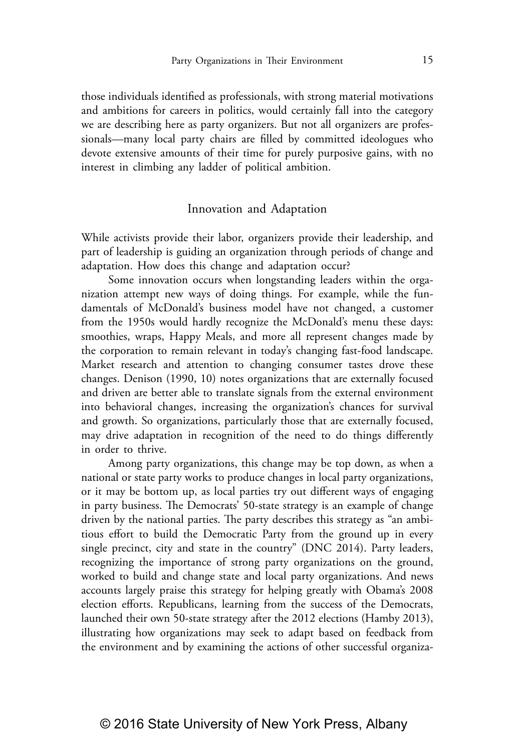those individuals identified as professionals, with strong material motivations and ambitions for careers in politics, would certainly fall into the category we are describing here as party organizers. But not all organizers are professionals—many local party chairs are filled by committed ideologues who devote extensive amounts of their time for purely purposive gains, with no interest in climbing any ladder of political ambition.

#### Innovation and Adaptation

While activists provide their labor, organizers provide their leadership, and part of leadership is guiding an organization through periods of change and adaptation. How does this change and adaptation occur?

Some innovation occurs when longstanding leaders within the organization attempt new ways of doing things. For example, while the fundamentals of McDonald's business model have not changed, a customer from the 1950s would hardly recognize the McDonald's menu these days: smoothies, wraps, Happy Meals, and more all represent changes made by the corporation to remain relevant in today's changing fast-food landscape. Market research and attention to changing consumer tastes drove these changes. Denison (1990, 10) notes organizations that are externally focused and driven are better able to translate signals from the external environment into behavioral changes, increasing the organization's chances for survival and growth. So organizations, particularly those that are externally focused, may drive adaptation in recognition of the need to do things differently in order to thrive.

Among party organizations, this change may be top down, as when a national or state party works to produce changes in local party organizations, or it may be bottom up, as local parties try out different ways of engaging in party business. The Democrats' 50-state strategy is an example of change driven by the national parties. The party describes this strategy as "an ambitious effort to build the Democratic Party from the ground up in every single precinct, city and state in the country" (DNC 2014). Party leaders, recognizing the importance of strong party organizations on the ground, worked to build and change state and local party organizations. And news accounts largely praise this strategy for helping greatly with Obama's 2008 election efforts. Republicans, learning from the success of the Democrats, launched their own 50-state strategy after the 2012 elections (Hamby 2013), illustrating how organizations may seek to adapt based on feedback from the environment and by examining the actions of other successful organiza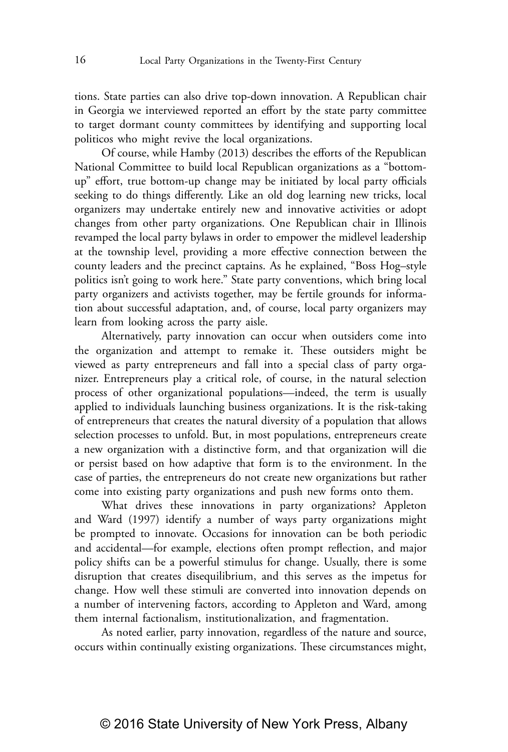tions. State parties can also drive top-down innovation. A Republican chair in Georgia we interviewed reported an effort by the state party committee to target dormant county committees by identifying and supporting local politicos who might revive the local organizations.

Of course, while Hamby (2013) describes the efforts of the Republican National Committee to build local Republican organizations as a "bottomup" effort, true bottom-up change may be initiated by local party officials seeking to do things differently. Like an old dog learning new tricks, local organizers may undertake entirely new and innovative activities or adopt changes from other party organizations. One Republican chair in Illinois revamped the local party bylaws in order to empower the midlevel leadership at the township level, providing a more effective connection between the county leaders and the precinct captains. As he explained, "Boss Hog–style politics isn't going to work here." State party conventions, which bring local party organizers and activists together, may be fertile grounds for information about successful adaptation, and, of course, local party organizers may learn from looking across the party aisle.

Alternatively, party innovation can occur when outsiders come into the organization and attempt to remake it. These outsiders might be viewed as party entrepreneurs and fall into a special class of party organizer. Entrepreneurs play a critical role, of course, in the natural selection process of other organizational populations—indeed, the term is usually applied to individuals launching business organizations. It is the risk-taking of entrepreneurs that creates the natural diversity of a population that allows selection processes to unfold. But, in most populations, entrepreneurs create a new organization with a distinctive form, and that organization will die or persist based on how adaptive that form is to the environment. In the case of parties, the entrepreneurs do not create new organizations but rather come into existing party organizations and push new forms onto them.

What drives these innovations in party organizations? Appleton and Ward (1997) identify a number of ways party organizations might be prompted to innovate. Occasions for innovation can be both periodic and accidental—for example, elections often prompt reflection, and major policy shifts can be a powerful stimulus for change. Usually, there is some disruption that creates disequilibrium, and this serves as the impetus for change. How well these stimuli are converted into innovation depends on a number of intervening factors, according to Appleton and Ward, among them internal factionalism, institutionalization, and fragmentation.

As noted earlier, party innovation, regardless of the nature and source, occurs within continually existing organizations. These circumstances might,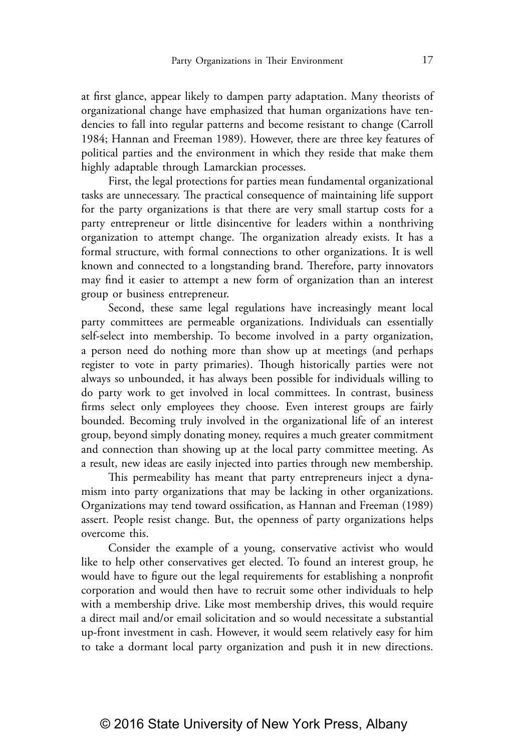at first glance, appear likely to dampen party adaptation. Many theorists of organizational change have emphasized that human organizations have tendencies to fall into regular patterns and become resistant to change (Carroll 1984; Hannan and Freeman 1989). However, there are three key features of political parties and the environment in which they reside that make them highly adaptable through Lamarckian processes.

First, the legal protections for parties mean fundamental organizational tasks are unnecessary. The practical consequence of maintaining life support for the party organizations is that there are very small startup costs for a party entrepreneur or little disincentive for leaders within a nonthriving organization to attempt change. The organization already exists. It has a formal structure, with formal connections to other organizations. It is well known and connected to a longstanding brand. Therefore, party innovators may find it easier to attempt a new form of organization than an interest group or business entrepreneur.

Second, these same legal regulations have increasingly meant local party committees are permeable organizations. Individuals can essentially self-select into membership. To become involved in a party organization, a person need do nothing more than show up at meetings (and perhaps register to vote in party primaries). Though historically parties were not always so unbounded, it has always been possible for individuals willing to do party work to get involved in local committees. In contrast, business firms select only employees they choose. Even interest groups are fairly bounded. Becoming truly involved in the organizational life of an interest group, beyond simply donating money, requires a much greater commitment and connection than showing up at the local party committee meeting. As a result, new ideas are easily injected into parties through new membership.

This permeability has meant that party entrepreneurs inject a dynamism into party organizations that may be lacking in other organizations. Organizations may tend toward ossification, as Hannan and Freeman (1989) assert. People resist change. But, the openness of party organizations helps overcome this.

Consider the example of a young, conservative activist who would like to help other conservatives get elected. To found an interest group, he would have to figure out the legal requirements for establishing a nonprofit corporation and would then have to recruit some other individuals to help with a membership drive. Like most membership drives, this would require a direct mail and/or email solicitation and so would necessitate a substantial up-front investment in cash. However, it would seem relatively easy for him to take a dormant local party organization and push it in new directions.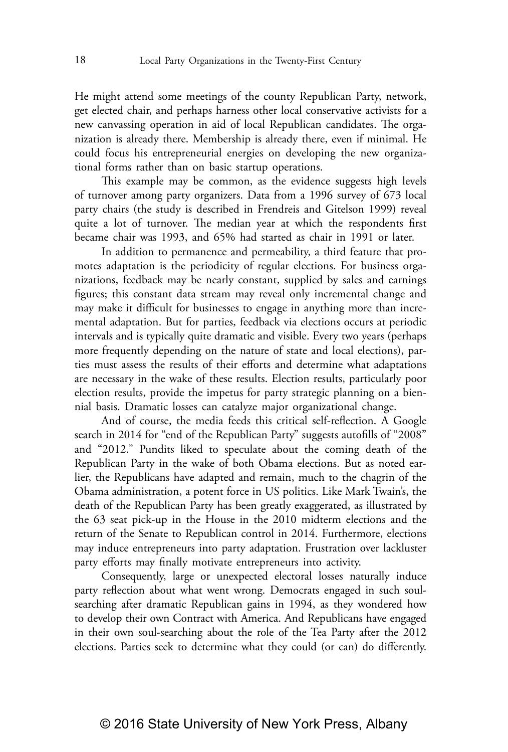He might attend some meetings of the county Republican Party, network, get elected chair, and perhaps harness other local conservative activists for a new canvassing operation in aid of local Republican candidates. The organization is already there. Membership is already there, even if minimal. He could focus his entrepreneurial energies on developing the new organizational forms rather than on basic startup operations.

This example may be common, as the evidence suggests high levels of turnover among party organizers. Data from a 1996 survey of 673 local party chairs (the study is described in Frendreis and Gitelson 1999) reveal quite a lot of turnover. The median year at which the respondents first became chair was 1993, and 65% had started as chair in 1991 or later.

In addition to permanence and permeability, a third feature that promotes adaptation is the periodicity of regular elections. For business organizations, feedback may be nearly constant, supplied by sales and earnings figures; this constant data stream may reveal only incremental change and may make it difficult for businesses to engage in anything more than incremental adaptation. But for parties, feedback via elections occurs at periodic intervals and is typically quite dramatic and visible. Every two years (perhaps more frequently depending on the nature of state and local elections), parties must assess the results of their efforts and determine what adaptations are necessary in the wake of these results. Election results, particularly poor election results, provide the impetus for party strategic planning on a biennial basis. Dramatic losses can catalyze major organizational change.

And of course, the media feeds this critical self-reflection. A Google search in 2014 for "end of the Republican Party" suggests autofills of "2008" and "2012." Pundits liked to speculate about the coming death of the Republican Party in the wake of both Obama elections. But as noted earlier, the Republicans have adapted and remain, much to the chagrin of the Obama administration, a potent force in US politics. Like Mark Twain's, the death of the Republican Party has been greatly exaggerated, as illustrated by the 63 seat pick-up in the House in the 2010 midterm elections and the return of the Senate to Republican control in 2014. Furthermore, elections may induce entrepreneurs into party adaptation. Frustration over lackluster party efforts may finally motivate entrepreneurs into activity.

Consequently, large or unexpected electoral losses naturally induce party reflection about what went wrong. Democrats engaged in such soulsearching after dramatic Republican gains in 1994, as they wondered how to develop their own Contract with America. And Republicans have engaged in their own soul-searching about the role of the Tea Party after the 2012 elections. Parties seek to determine what they could (or can) do differently.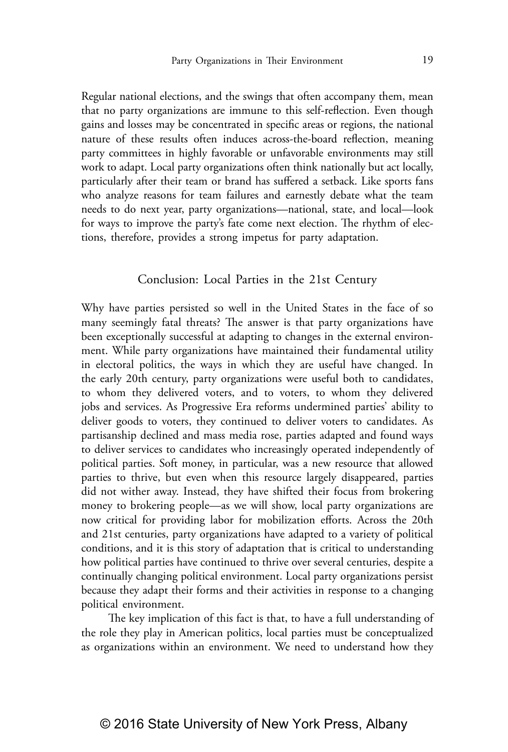Regular national elections, and the swings that often accompany them, mean that no party organizations are immune to this self-reflection. Even though gains and losses may be concentrated in specific areas or regions, the national nature of these results often induces across-the-board reflection, meaning party committees in highly favorable or unfavorable environments may still work to adapt. Local party organizations often think nationally but act locally, particularly after their team or brand has suffered a setback. Like sports fans who analyze reasons for team failures and earnestly debate what the team needs to do next year, party organizations—national, state, and local—look for ways to improve the party's fate come next election. The rhythm of elections, therefore, provides a strong impetus for party adaptation.

## Conclusion: Local Parties in the 21st Century

Why have parties persisted so well in the United States in the face of so many seemingly fatal threats? The answer is that party organizations have been exceptionally successful at adapting to changes in the external environment. While party organizations have maintained their fundamental utility in electoral politics, the ways in which they are useful have changed. In the early 20th century, party organizations were useful both to candidates, to whom they delivered voters, and to voters, to whom they delivered jobs and services. As Progressive Era reforms undermined parties' ability to deliver goods to voters, they continued to deliver voters to candidates. As partisanship declined and mass media rose, parties adapted and found ways to deliver services to candidates who increasingly operated independently of political parties. Soft money, in particular, was a new resource that allowed parties to thrive, but even when this resource largely disappeared, parties did not wither away. Instead, they have shifted their focus from brokering money to brokering people—as we will show, local party organizations are now critical for providing labor for mobilization efforts. Across the 20th and 21st centuries, party organizations have adapted to a variety of political conditions, and it is this story of adaptation that is critical to understanding how political parties have continued to thrive over several centuries, despite a continually changing political environment. Local party organizations persist because they adapt their forms and their activities in response to a changing political environment.

The key implication of this fact is that, to have a full understanding of the role they play in American politics, local parties must be conceptualized as organizations within an environment. We need to understand how they